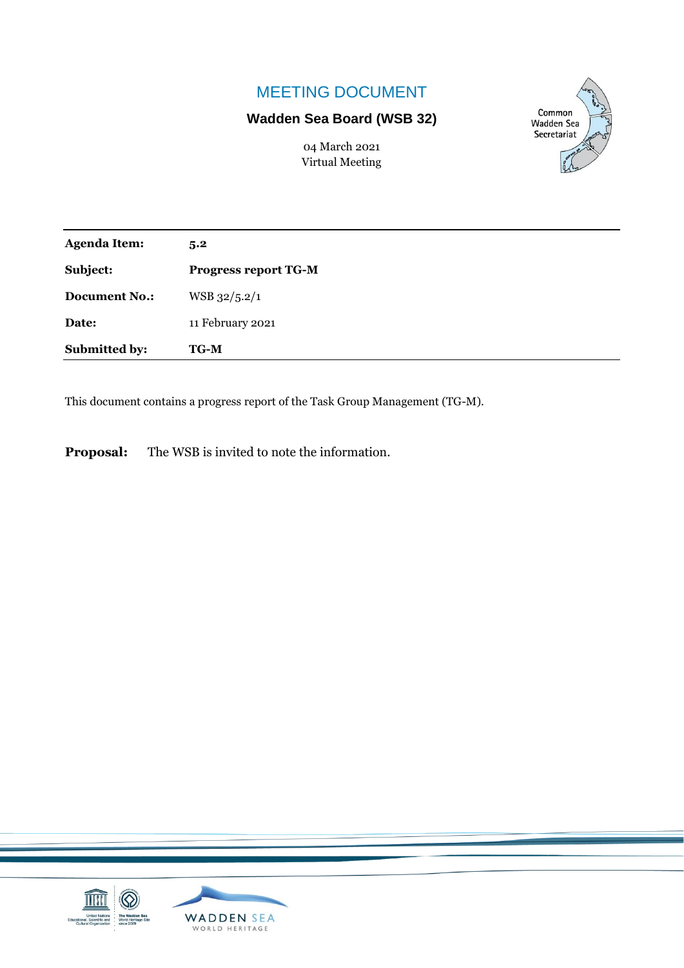# MEETING DOCUMENT

## **Wadden Sea Board (WSB 32)**

04 March 2021 Virtual Meeting



| <b>Agenda Item:</b>  | 5.2                         |
|----------------------|-----------------------------|
| Subject:             | <b>Progress report TG-M</b> |
| <b>Document No.:</b> | WSB 32/5.2/1                |
| Date:                | 11 February 2021            |
| Submitted by:        | <b>TG-M</b>                 |

This document contains a progress report of the Task Group Management (TG-M).

**Proposal:** The WSB is invited to note the information.

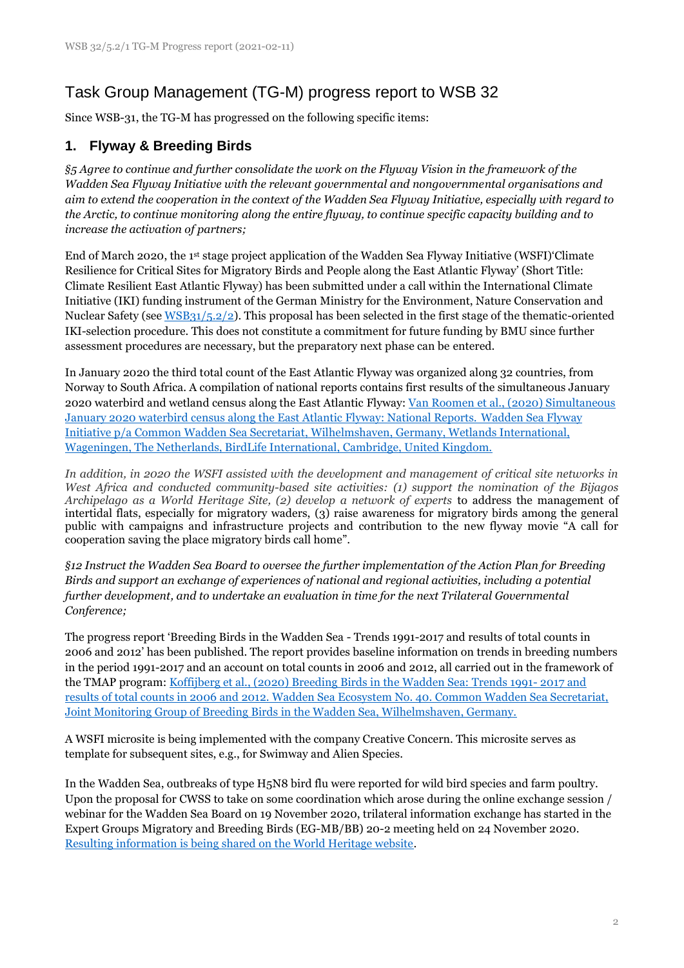# Task Group Management (TG-M) progress report to WSB 32

Since WSB-31, the TG-M has progressed on the following specific items:

## **1. Flyway & Breeding Birds**

*§5 Agree to continue and further consolidate the work on the Flyway Vision in the framework of the Wadden Sea Flyway Initiative with the relevant governmental and nongovernmental organisations and aim to extend the cooperation in the context of the Wadden Sea Flyway Initiative, especially with regard to the Arctic, to continue monitoring along the entire flyway, to continue specific capacity building and to increase the activation of partners;*

End of March 2020, the 1st stage project application of the Wadden Sea Flyway Initiative (WSFI)'Climate Resilience for Critical Sites for Migratory Birds and People along the East Atlantic Flyway' (Short Title: Climate Resilient East Atlantic Flyway) has been submitted under a call within the International Climate Initiative (IKI) funding instrument of the German Ministry for the Environment, Nature Conservation and Nuclear Safety (see [WSB31/5.2/2\)](https://waddensea-worldheritage.org/system/files/WSB-31-5-2-2-WSFI%20IKI%20project%20outline%20application.pdf). This proposal has been selected in the first stage of the thematic-oriented IKI-selection procedure. This does not constitute a commitment for future funding by BMU since further assessment procedures are necessary, but the preparatory next phase can be entered.

In January 2020 the third total count of the East Atlantic Flyway was organized along 32 countries, from Norway to South Africa. A compilation of national reports contains first results of the simultaneous January 2020 waterbird and wetland census along the East Atlantic Flyway: [Van Roomen et al., \(2020\) Simultaneous](https://www.waddensea-worldheritage.org/node/1283/)  [January 2020 waterbird census along the East Atlantic Flyway: National Reports.](https://www.waddensea-worldheritage.org/node/1283/) Wadden Sea Flyway [Initiative p/a Common Wadden Sea Secretariat, Wilhelmshaven, Germany, Wetlands International,](https://www.waddensea-worldheritage.org/node/1283/)  [Wageningen, The Netherlands, BirdLife International, Cambridge, United Kingdom.](https://www.waddensea-worldheritage.org/node/1283/)

*In addition, in 2020 the WSFI assisted with the development and management of critical site networks in West Africa and conducted community-based site activities: (1) support the nomination of the Bijagos Archipelago as a World Heritage Site, (2) develop a network of experts* to address the management of intertidal flats, especially for migratory waders, (3) raise awareness for migratory birds among the general public with campaigns and infrastructure projects and contribution to the new flyway movie "A call for cooperation saving the place migratory birds call home".

*§12 Instruct the Wadden Sea Board to oversee the further implementation of the Action Plan for Breeding Birds and support an exchange of experiences of national and regional activities, including a potential further development, and to undertake an evaluation in time for the next Trilateral Governmental Conference;*

The progress report 'Breeding Birds in the Wadden Sea - Trends 1991-2017 and results of total counts in 2006 and 2012' has been published. The report provides baseline information on trends in breeding numbers in the period 1991-2017 and an account on total counts in 2006 and 2012, all carried out in the framework of the TMAP program[: Koffijberg et al., \(2020\) Breeding Birds in the Wadden Sea: Trends 1991-](https://www.waddensea-worldheritage.org/resources/ecosystem-40-trends-breeding-birds) 2017 and [results of total counts in 2006 and 2012. Wadden Sea Ecosystem No. 40. Common Wadden Sea Secretariat,](https://www.waddensea-worldheritage.org/resources/ecosystem-40-trends-breeding-birds)  [Joint Monitoring Group of Breeding Birds in the Wadden Sea, Wilhelmshaven, Germany.](https://www.waddensea-worldheritage.org/resources/ecosystem-40-trends-breeding-birds)

A WSFI microsite is being implemented with the company Creative Concern. This microsite serves as template for subsequent sites, e.g., for Swimway and Alien Species.

In the Wadden Sea, outbreaks of type H5N8 bird flu were reported for wild bird species and farm poultry. Upon the proposal for CWSS to take on some coordination which arose during the online exchange session / webinar for the Wadden Sea Board on 19 November 2020, trilateral information exchange has started in the Expert Groups Migratory and Breeding Birds (EG-MB/BB) 20-2 meeting held on 24 November 2020. [Resulting information is being shared on the World Heritage website.](https://www.waddensea-worldheritage.org/news/avian-flu-wadden-sea-world-heritage)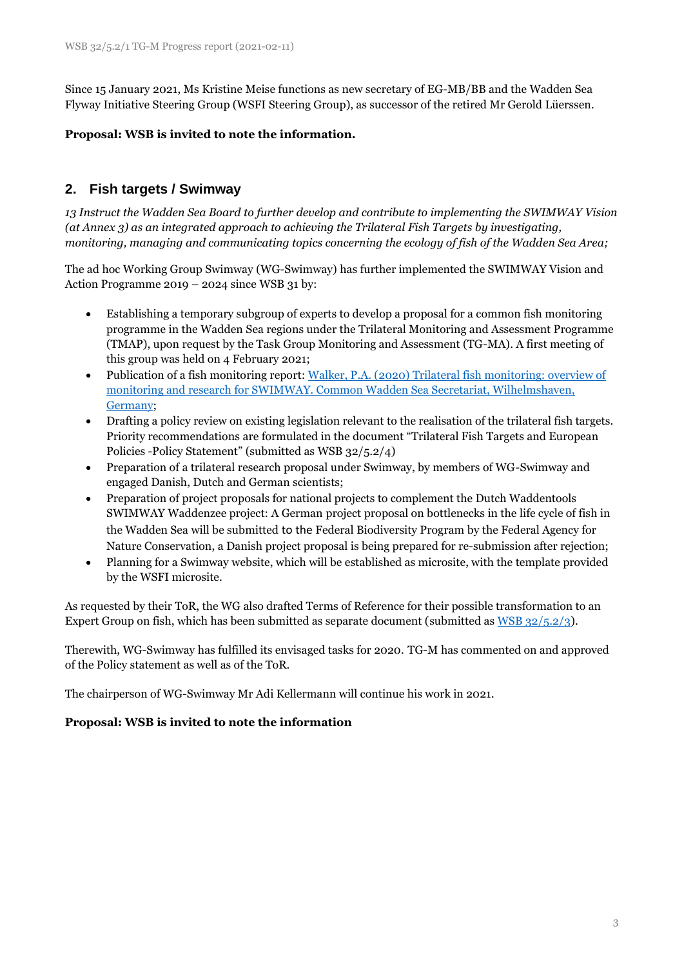Since 15 January 2021, Ms Kristine Meise functions as new secretary of EG-MB/BB and the Wadden Sea Flyway Initiative Steering Group (WSFI Steering Group), as successor of the retired Mr Gerold Lüerssen.

#### **Proposal: WSB is invited to note the information.**

## **2. Fish targets / Swimway**

*13 Instruct the Wadden Sea Board to further develop and contribute to implementing the SWIMWAY Vision (at Annex 3) as an integrated approach to achieving the Trilateral Fish Targets by investigating, monitoring, managing and communicating topics concerning the ecology of fish of the Wadden Sea Area;*

The ad hoc Working Group Swimway (WG-Swimway) has further implemented the SWIMWAY Vision and Action Programme 2019 – 2024 since WSB 31 by:

- Establishing a temporary subgroup of experts to develop a proposal for a common fish monitoring programme in the Wadden Sea regions under the Trilateral Monitoring and Assessment Programme (TMAP), upon request by the Task Group Monitoring and Assessment (TG-MA). A first meeting of this group was held on 4 February 2021;
- Publication of a fish monitoring report: [Walker, P.A. \(2020\) Trilateral fish monitoring: overview of](https://www.waddensea-worldheritage.org/resources/trilateral-fish-monitoring-overview-monitoring-and-research-swimway)  [monitoring and research for SWIMWAY. Common Wadden Sea Secretariat, Wilhelmshaven,](https://www.waddensea-worldheritage.org/resources/trilateral-fish-monitoring-overview-monitoring-and-research-swimway)  [Germany;](https://www.waddensea-worldheritage.org/resources/trilateral-fish-monitoring-overview-monitoring-and-research-swimway)
- Drafting a policy review on existing legislation relevant to the realisation of the trilateral fish targets. Priority recommendations are formulated in the document "Trilateral Fish Targets and European Policies -Policy Statement" (submitted as WSB 32/5.2/4)
- Preparation of a trilateral research proposal under Swimway, by members of WG-Swimway and engaged Danish, Dutch and German scientists;
- Preparation of project proposals for national projects to complement the Dutch Waddentools SWIMWAY Waddenzee project: A German project proposal on bottlenecks in the life cycle of fish in the Wadden Sea will be submitted to the Federal Biodiversity Program by the Federal Agency for Nature Conservation, a Danish project proposal is being prepared for re-submission after rejection;
- Planning for a Swimway website, which will be established as microsite, with the template provided by the WSFI microsite.

As requested by their ToR, the WG also drafted Terms of Reference for their possible transformation to an Expert Group on fish, which has been submitted as separate document (submitted as [WSB 32/5.2/3\)](https://www.waddensea-secretariat.org/system/files/WSB-32-5-2-3-ToR%20EG-Swimway.pdf).

Therewith, WG-Swimway has fulfilled its envisaged tasks for 2020. TG-M has commented on and approved of the Policy statement as well as of the ToR.

The chairperson of WG-Swimway Mr Adi Kellermann will continue his work in 2021.

#### **Proposal: WSB is invited to note the information**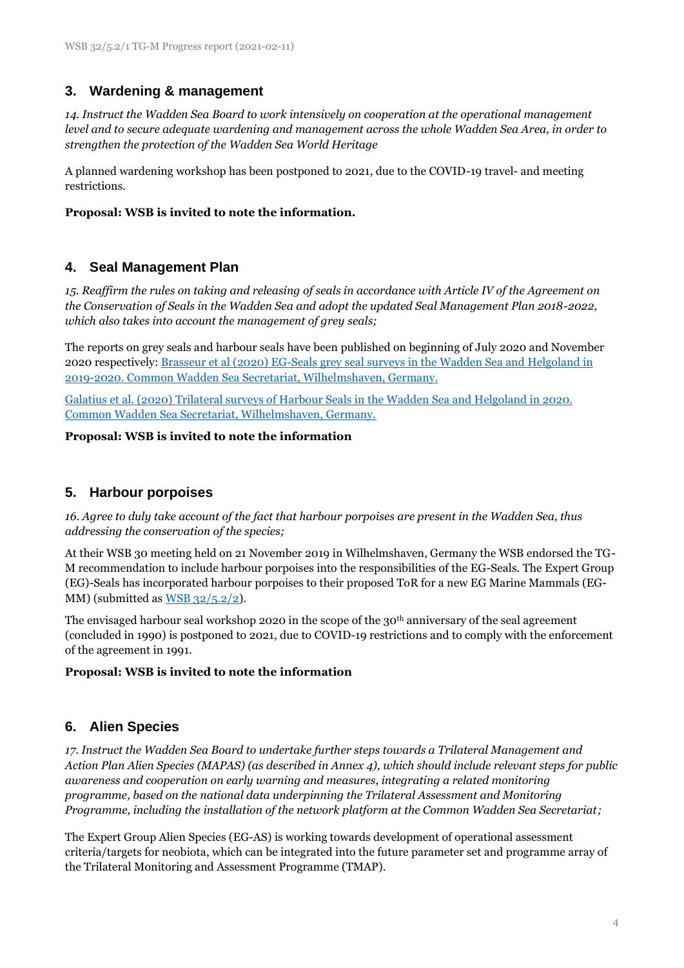## **3. Wardening & management**

*14. Instruct the Wadden Sea Board to work intensively on cooperation at the operational management level and to secure adequate wardening and management across the whole Wadden Sea Area, in order to strengthen the protection of the Wadden Sea World Heritage* 

A planned wardening workshop has been postponed to 2021, due to the COVID-19 travel- and meeting restrictions.

#### **Proposal: WSB is invited to note the information.**

### **4. Seal Management Plan**

*15. Reaffirm the rules on taking and releasing of seals in accordance with Article IV of the Agreement on the Conservation of Seals in the Wadden Sea and adopt the updated Seal Management Plan 2018-2022, which also takes into account the management of grey seals;*

The reports on grey seals and harbour seals have been published on beginning of July 2020 and November 2020 respectively: [Brasseur et al \(2020\) EG-Seals grey seal surveys in the Wadden Sea and Helgoland in](https://www.waddensea-worldheritage.org/2020-grey-seal-report)  [2019-2020. Common Wadden Sea Secretariat, Wilhelmshaven, Germany.](https://www.waddensea-worldheritage.org/2020-grey-seal-report)

[Galatius et al. \(2020\) Trilateral surveys of Harbour Seals in the Wadden Sea and Helgoland in 2020.](https://www.waddensea-worldheritage.org/resources/2020-harbour-seal-report)  [Common Wadden Sea Secretariat, Wilhelmshaven, Germany.](https://www.waddensea-worldheritage.org/resources/2020-harbour-seal-report)

#### **Proposal: WSB is invited to note the information**

### **5. Harbour porpoises**

*16. Agree to duly take account of the fact that harbour porpoises are present in the Wadden Sea, thus addressing the conservation of the species;* 

At their WSB 30 meeting held on 21 November 2019 in Wilhelmshaven, Germany the WSB endorsed the TG-M recommendation to include harbour porpoises into the responsibilities of the EG-Seals. The Expert Group (EG)-Seals has incorporated harbour porpoises to their proposed ToR for a new EG Marine Mammals (EG-MM) (submitted as  $WSB$  32/5.2/2).

The envisaged harbour seal workshop 2020 in the scope of the 30th anniversary of the seal agreement (concluded in 1990) is postponed to 2021, due to COVID-19 restrictions and to comply with the enforcement of the agreement in 1991.

#### **Proposal: WSB is invited to note the information**

### **6. Alien Species**

*17. Instruct the Wadden Sea Board to undertake further steps towards a Trilateral Management and Action Plan Alien Species (MAPAS) (as described in Annex 4), which should include relevant steps for public awareness and cooperation on early warning and measures, integrating a related monitoring programme, based on the national data underpinning the Trilateral Assessment and Monitoring Programme, including the installation of the network platform at the Common Wadden Sea Secretariat;*

The Expert Group Alien Species (EG-AS) is working towards development of operational assessment criteria/targets for neobiota, which can be integrated into the future parameter set and programme array of the Trilateral Monitoring and Assessment Programme (TMAP).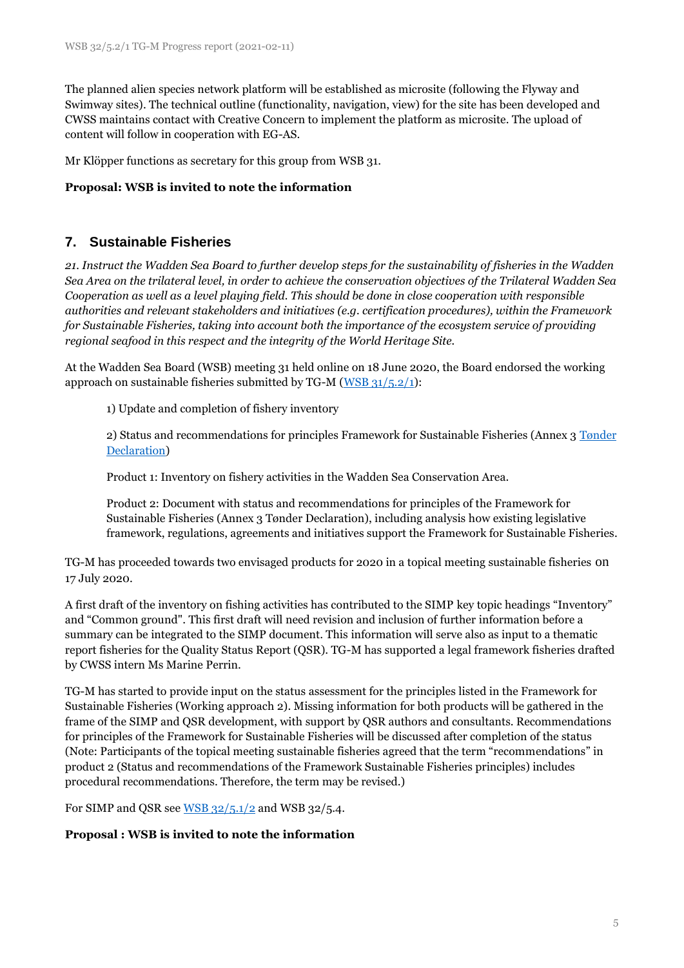The planned alien species network platform will be established as microsite (following the Flyway and Swimway sites). The technical outline (functionality, navigation, view) for the site has been developed and CWSS maintains contact with Creative Concern to implement the platform as microsite. The upload of content will follow in cooperation with EG-AS.

Mr Klöpper functions as secretary for this group from WSB 31.

#### **Proposal: WSB is invited to note the information**

### **7. Sustainable Fisheries**

*21. Instruct the Wadden Sea Board to further develop steps for the sustainability of fisheries in the Wadden Sea Area on the trilateral level, in order to achieve the conservation objectives of the Trilateral Wadden Sea Cooperation as well as a level playing field. This should be done in close cooperation with responsible authorities and relevant stakeholders and initiatives (e.g. certification procedures), within the Framework for Sustainable Fisheries, taking into account both the importance of the ecosystem service of providing regional seafood in this respect and the integrity of the World Heritage Site.*

At the Wadden Sea Board (WSB) meeting 31 held online on 18 June 2020, the Board endorsed the working approach on sustainable fisheries submitted by TG-M ( $WSB$  31/5.2/1):

1) Update and completion of fishery inventory

2) Status and recommendations for principles Framework for Sustainable Fisheries (Annex 3 [Tønder](https://www.waddensea-worldheritage.org/sites/default/files/2014_toender%20declaration.pdf)  [Declaration\)](https://www.waddensea-worldheritage.org/sites/default/files/2014_toender%20declaration.pdf)

Product 1: Inventory on fishery activities in the Wadden Sea Conservation Area.

Product 2: Document with status and recommendations for principles of the Framework for Sustainable Fisheries (Annex 3 Tønder Declaration), including analysis how existing legislative framework, regulations, agreements and initiatives support the Framework for Sustainable Fisheries.

TG-M has proceeded towards two envisaged products for 2020 in a topical meeting sustainable fisheries on 17 July 2020.

A first draft of the inventory on fishing activities has contributed to the SIMP key topic headings "Inventory" and "Common ground". This first draft will need revision and inclusion of further information before a summary can be integrated to the SIMP document. This information will serve also as input to a thematic report fisheries for the Quality Status Report (QSR). TG-M has supported a legal framework fisheries drafted by CWSS intern Ms Marine Perrin.

TG-M has started to provide input on the status assessment for the principles listed in the Framework for Sustainable Fisheries (Working approach 2). Missing information for both products will be gathered in the frame of the SIMP and QSR development, with support by QSR authors and consultants. Recommendations for principles of the Framework for Sustainable Fisheries will be discussed after completion of the status (Note: Participants of the topical meeting sustainable fisheries agreed that the term "recommendations" in product 2 (Status and recommendations of the Framework Sustainable Fisheries principles) includes procedural recommendations. Therefore, the term may be revised.)

For SIMP and QSR see  $\underline{\text{WSB}}$  32/5.1/2 and WSB 32/5.4.

#### **Proposal : WSB is invited to note the information**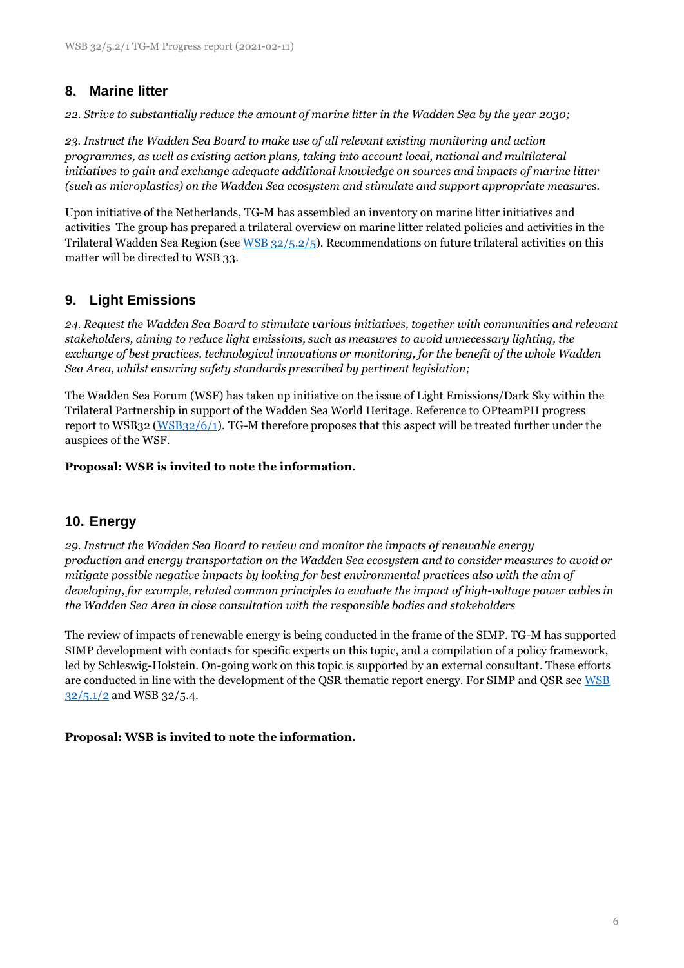## **8. Marine litter**

*22. Strive to substantially reduce the amount of marine litter in the Wadden Sea by the year 2030;*

*23. Instruct the Wadden Sea Board to make use of all relevant existing monitoring and action programmes, as well as existing action plans, taking into account local, national and multilateral initiatives to gain and exchange adequate additional knowledge on sources and impacts of marine litter (such as microplastics) on the Wadden Sea ecosystem and stimulate and support appropriate measures.*

Upon initiative of the Netherlands, TG-M has assembled an inventory on marine litter initiatives and activities The group has prepared a trilateral overview on marine litter related policies and activities in the Trilateral Wadden Sea Region (se[e WSB 32/5.2/5\)](https://www.waddensea-secretariat.org/system/files/WSB-32-5-2-5-tg%20m%20marine%20litter.pdf). Recommendations on future trilateral activities on this matter will be directed to WSB 33.

## **9. Light Emissions**

*24. Request the Wadden Sea Board to stimulate various initiatives, together with communities and relevant stakeholders, aiming to reduce light emissions, such as measures to avoid unnecessary lighting, the exchange of best practices, technological innovations or monitoring, for the benefit of the whole Wadden Sea Area, whilst ensuring safety standards prescribed by pertinent legislation;*

The Wadden Sea Forum (WSF) has taken up initiative on the issue of Light Emissions/Dark Sky within the Trilateral Partnership in support of the Wadden Sea World Heritage. Reference to OPteamPH progress report to WSB32 [\(WSB32/6/1\)](https://www.waddensea-secretariat.org/system/files/WSB-32-6-1-OPteamPH%20progress%20report.pdf). TG-M therefore proposes that this aspect will be treated further under the auspices of the WSF.

**Proposal: WSB is invited to note the information.**

## **10. Energy**

*29. Instruct the Wadden Sea Board to review and monitor the impacts of renewable energy production and energy transportation on the Wadden Sea ecosystem and to consider measures to avoid or mitigate possible negative impacts by looking for best environmental practices also with the aim of developing, for example, related common principles to evaluate the impact of high-voltage power cables in the Wadden Sea Area in close consultation with the responsible bodies and stakeholders*

The review of impacts of renewable energy is being conducted in the frame of the SIMP. TG-M has supported SIMP development with contacts for specific experts on this topic, and a compilation of a policy framework, led by Schleswig-Holstein. On-going work on this topic is supported by an external consultant. These efforts are conducted in line with the development of the QSR thematic report energy. For SIMP and QSR see WSB  $32/5.1/2$  and WSB 32/5.4.

#### **Proposal: WSB is invited to note the information.**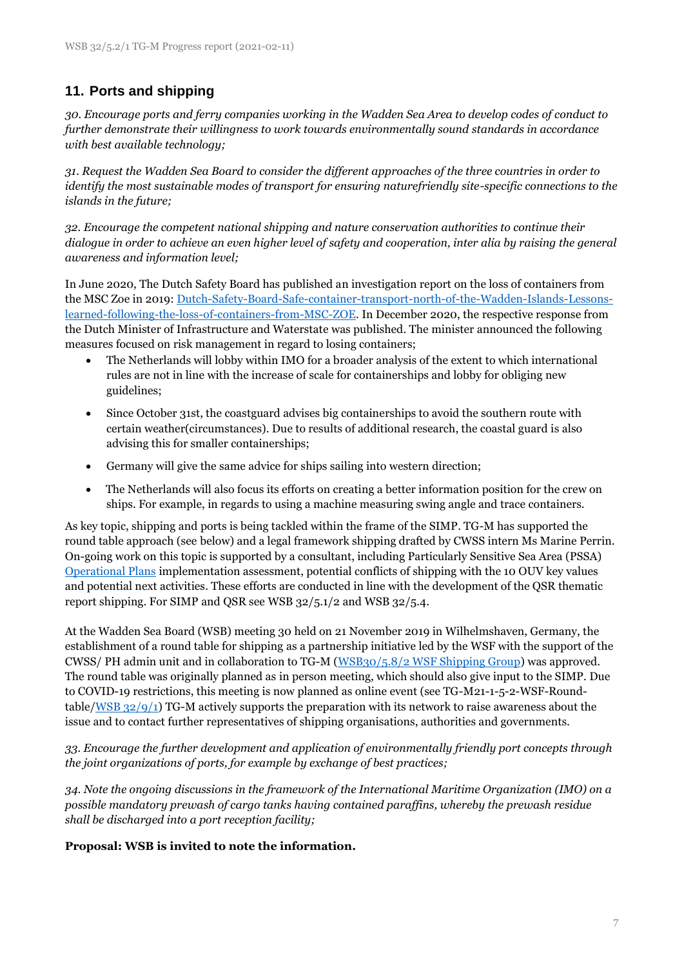## **11. Ports and shipping**

*30. Encourage ports and ferry companies working in the Wadden Sea Area to develop codes of conduct to further demonstrate their willingness to work towards environmentally sound standards in accordance with best available technology;*

*31. Request the Wadden Sea Board to consider the different approaches of the three countries in order to identify the most sustainable modes of transport for ensuring naturefriendly site-specific connections to the islands in the future;*

*32. Encourage the competent national shipping and nature conservation authorities to continue their dialogue in order to achieve an even higher level of safety and cooperation, inter alia by raising the general awareness and information level;*

In June 2020, The Dutch Safety Board has published an investigation report on the loss of containers from the MSC Zoe in 2019: [Dutch-Safety-Board-Safe-container-transport-north-of-the-Wadden-Islands-Lessons](https://www.iims.org.uk/wp-content/uploads/2020/06/Dutch-Safety-Board-Safe-container-transport-north-of-the-Wadden-Islands-Lessons-learned-following-the-loss-of-containers-from-MSC-ZOE.pdf)[learned-following-the-loss-of-containers-from-MSC-ZOE.](https://www.iims.org.uk/wp-content/uploads/2020/06/Dutch-Safety-Board-Safe-container-transport-north-of-the-Wadden-Islands-Lessons-learned-following-the-loss-of-containers-from-MSC-ZOE.pdf) In December 2020, the respective response from the Dutch Minister of Infrastructure and Waterstate was published. The minister announced the following measures focused on risk management in regard to losing containers;

- The Netherlands will lobby within IMO for a broader analysis of the extent to which international rules are not in line with the increase of scale for containerships and lobby for obliging new guidelines;
- Since October 31st, the coastguard advises big containerships to avoid the southern route with certain weather(circumstances). Due to results of additional research, the coastal guard is also advising this for smaller containerships;
- Germany will give the same advice for ships sailing into western direction;
- The Netherlands will also focus its efforts on creating a better information position for the crew on ships. For example, in regards to using a machine measuring swing angle and trace containers.

As key topic, shipping and ports is being tackled within the frame of the SIMP. TG-M has supported the round table approach (see below) and a legal framework shipping drafted by CWSS intern Ms Marine Perrin. On-going work on this topic is supported by a consultant, including Particularly Sensitive Sea Area (PSSA) [Operational Plans](https://www.waddensea-worldheritage.org/resources/pssa-wadden-sea-operational-plans) implementation assessment, potential conflicts of shipping with the 10 OUV key values and potential next activities. These efforts are conducted in line with the development of the QSR thematic report shipping. For SIMP and QSR see WSB 32/5.1/2 and WSB 32/5.4.

At the Wadden Sea Board (WSB) meeting 30 held on 21 November 2019 in Wilhelmshaven, Germany, the establishment of a round table for shipping as a partnership initiative led by the WSF with the support of the CWSS/ PH admin unit and in collaboration to TG-M [\(WSB30/5.8/2 WSF Shipping Group\)](https://www.waddensea-worldheritage.org/sites/default/files/WSB30%205.8-2%20ws%20shipping%20group.pdf) was approved. The round table was originally planned as in person meeting, which should also give input to the SIMP. Due to COVID-19 restrictions, this meeting is now planned as online event (see TG-M21-1-5-2-WSF-Roundtable[/WSB 32/9/1\)](https://www.waddensea-secretariat.org/system/files/WSB-32-9-1%20WSF.pdf) TG-M actively supports the preparation with its network to raise awareness about the issue and to contact further representatives of shipping organisations, authorities and governments.

*33. Encourage the further development and application of environmentally friendly port concepts through the joint organizations of ports, for example by exchange of best practices;*

*34. Note the ongoing discussions in the framework of the International Maritime Organization (IMO) on a possible mandatory prewash of cargo tanks having contained paraffins, whereby the prewash residue shall be discharged into a port reception facility;*

#### **Proposal: WSB is invited to note the information.**